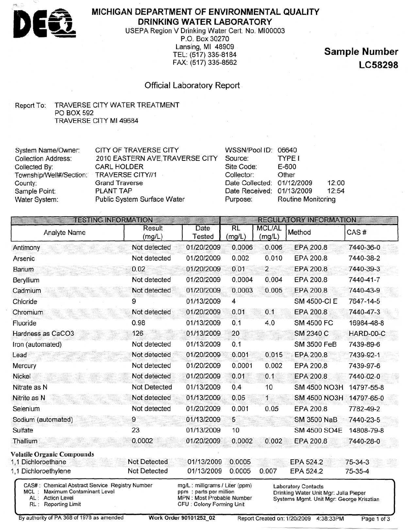

## **MICHIGAN DEPARTMENT OF ENVIRONMENTAL QUALITY DRINKING WATER LABORATORY**

USEPA Region V Drinking Water Cert. No. MI00003 P.O. Box 30270 Lansing, Ml 48909 TEL: (517) 335-8184 FAX: (517) 335-8562

**Sample Number LC58298**

### Official Laboratory Report

#### Report To: TRAVERSE CITY WATER TREATMENT PO BOX 592 TRAVERSE CITY Ml 49684

| System Name/Owner:                       | <b>CITY OF TRAVERSE CITY</b>    | WSSN/Pool ID: 06640        |                    |       |
|------------------------------------------|---------------------------------|----------------------------|--------------------|-------|
| <b>Collection Address:</b>               | 2010 EASTERN AVE, TRAVERSE CITY | Source:                    | TYPE I             |       |
| Collected By:                            | <b>CARL HOLDER</b>              | Site Code:                 | E-600              |       |
| Township/Well#/Section: TRAVERSE CITY//1 |                                 | Collector:                 | Other              |       |
| County:                                  | <b>Grand Traverse</b>           | Date Collected: 01/12/2009 |                    | 12:00 |
| Sample Point:                            | PLANT TAP                       | Date Received: 01/13/2009  |                    | 12:54 |
| Water System:                            | Public System Surface Water     | Purpose:                   | Routine Monitoring |       |

| <b>TESTING INFORMATION</b>        |                     |                |                |                         | <b>REGULATORY INFORMATION</b> |               |
|-----------------------------------|---------------------|----------------|----------------|-------------------------|-------------------------------|---------------|
| Analyte Name                      | Result<br>(mg/L)    | Date<br>Tested | RL<br>(mg/L)   | <b>MCL/AL</b><br>(mg/L) | Method                        | CAS#          |
| Antimony                          | Not detected        | 01/20/2009     | 0.0006         | 0.006                   | EPA 200.8                     | 7440-36-0     |
| Arsenic                           | Not detected        | 01/20/2009     | 0.002          | 0.010                   | EPA 200.8                     | 7440-38-2     |
| <b>Barium</b>                     | 0.02                | 01/20/2009     | 0.01           | $\overline{2}$          | EPA 200.8                     | 7440-39-3     |
| Beryllium                         | Not detected        | 01/20/2009     | 0.0004         | 0.004                   | EPA 200.8                     | 7440-41-7     |
| Cadmium                           | Not detected        | 01/20/2009     | 0.0003         | 0.005                   | EPA 200.8                     | 7440-43-9     |
| Chloride                          | 9                   | 01/13/2009     | $\overline{4}$ |                         | SM 4500-CI E                  | 7647-14-5     |
| Chromium                          | Not detected        | 01/20/2009     | 0.01           | 0.1                     | EPA 200.8                     | 7440-47-3     |
| Fluoride                          | 0.98                | 01/13/2009     | 0.1            | 4.0                     | <b>SM 4500 FC</b>             | 16984-48-8    |
| Hardness as CaCO3                 | 126                 | 01/13/2009     | 20             |                         | SM 2340 C                     | HARD-00-C     |
| Iron (automated)                  | Not detected        | 01/13/2009     | 0.1            |                         | <b>SM 3500 FeB</b>            | 7439-89-6     |
| Lead                              | Not detected        | 01/20/2009     | 0.001          | 0.015                   | EPA 200.8                     | 7439-92-1     |
| Mercury                           | Not detected        | 01/20/2009     | 0.0001         | 0.002                   | EPA 200.8                     | 7439-97-6     |
| Nickel                            | Not detected        | 01/20/2009     | 0.01           | 0.1                     | EPA 200.8                     | 7440-02-0     |
| Nitrate as N                      | Not Detected        | 01/13/2009     | 0.4            | 10                      | <b>SM 4500 NO3H</b>           | 14797-55-8    |
| Nitrite as N                      | Not detected        | 01/13/2009     | 0.05           | $\mathbf{1}$            | <b>SM 4500 NO3H</b>           | 14797-65-0    |
| Selenium                          | Not detected        | 01/20/2009     | 0.001          | 0.05                    | EPA 200.8                     | 7782-49-2     |
| Sodium (automated)                | 9                   | 01/13/2009     | 5              |                         | <b>SM 3500 NaB</b>            | 7440-23-5     |
| Sulfate                           | 23                  | 01/13/2009     | 10             |                         | <b>SM 4500 SO4E</b>           | 14808-79-8    |
| Thallium                          | 0.0002              | 01/20/2009     | 0.0002         | 0.002                   | EPA 200.8                     | 7440-28-0     |
| <b>Volatile Organic Compounds</b> |                     |                |                |                         |                               |               |
| 1,1 Dichloroethane                | <b>Not Detected</b> | 01/13/2009     | 0.0005         |                         | EPA 524.2                     | $75 - 34 - 3$ |
| 1,1 Dichloroethylene              | Not Detected        | 01/13/2009     | 0.0005         | 0.007                   | EPA 524.2                     | 75-35-4       |

By authority of PA 368 of 1978 as amended **Work Order 90101252 02** Report Created on: 1/20/2009 4:38:33PM Page 1 of 3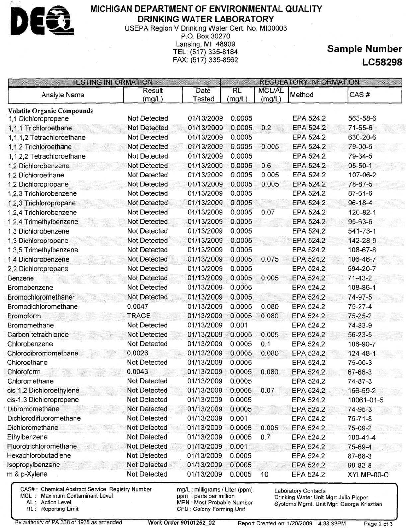

### **MICHIGAN DEPARTMENT OF ENVIRONMENTAL QUALITY DRINKING WATER LABORATORY**

USEPA Region V Drinking Water Cert. No. MI00003 P.O. Box 30270

Lansing, Ml 48909 TEL: (517)335-8184 FAX: (517) 335-8562

# **Sample Number LC58298**

|                                   | Result              | Date       | <b>RL</b> | <b>MCL/AL</b> |           |                |
|-----------------------------------|---------------------|------------|-----------|---------------|-----------|----------------|
| Analyte Name                      | (mg/L)              | Tested     | (mg/L)    | (mg/L)        | Method    | CAS#           |
| <b>Volatile Organic Compounds</b> |                     |            |           |               |           |                |
| 1,1 Dichloropropene               | Not Detected        | 01/13/2009 | 0.0005    |               | EPA 524.2 | 563-58-6       |
| 1,1,1 Trichloroethane             | <b>Not Detected</b> | 01/13/2009 | 0.0005    | 0.2           | EPA 524.2 | $71 - 55 - 6$  |
| 1,1,1,2 Tetrachloroethane         | <b>Not Detected</b> | 01/13/2009 | 0.0005    |               | EPA 524.2 | 630-20-6       |
| 1,1,2 Trichloroethane             | Not Detected        | 01/13/2009 | 0.0005    | 0.005         | EPA 524.2 | 79-00-5        |
| 1,1,2,2 Tetrachloroethane         | <b>Not Detected</b> | 01/13/2009 | 0.0005    |               | EPA 524.2 | 79-34-5        |
| 1,2 Dichlorobenzene               | <b>Not Detected</b> | 01/13/2009 | 0.0005    | 0.6           | EPA 524.2 | $95 - 50 - 1$  |
| 1,2 Dichloroethane                | Not Detected        | 01/13/2009 | 0.0005    | 0.005         | EPA 524.2 | 107-06-2       |
| 1,2 Dichloropropane               | <b>Not Detected</b> | 01/13/2009 | 0.0005    | 0.005         | EPA 524.2 | 78-87-5        |
| 1,2,3 Trichlorobenzene            | <b>Not Detected</b> | 01/13/2009 | 0.0005    |               | EPA 524.2 | 87-61-6        |
| 1,2,3 Trichloropropane            | <b>Not Detected</b> | 01/13/2009 | 0.0005    |               | EPA 524.2 | $96 - 18 - 4$  |
| 1,2,4 Trichlorobenzene            | <b>Not Detected</b> | 01/13/2009 | 0.0005    | 0.07          | EPA 524.2 | 120-82-1       |
| 1,2,4 Trimethylbenzene            | <b>Not Detected</b> | 01/13/2009 | 0.0005    |               | EPA 524.2 | 95-63-6        |
| 1.3 Dichlorobenzene               | <b>Not Detected</b> | 01/13/2009 | 0.0005    |               | EPA 524.2 | 541-73-1       |
| 1,3 Dichloropropane               | <b>Not Detected</b> | 01/13/2009 | 0.0005    |               | EPA 524.2 | 142-28-9       |
| 1,3,5 Trimethylbenzene            | <b>Not Detected</b> | 01/13/2009 | 0.0005    |               | EPA 524.2 | 108-67-8       |
| 1,4 Dichlorobenzene               | Not Detected        | 01/13/2009 | 0.0005    | 0.075         | EPA 524.2 | 106-46-7       |
| 2,2 Dichloropropane               | Not Detected        | 01/13/2009 | 0.0005    |               | EPA 524.2 | 594-20-7       |
| Benzene                           | <b>Not Detected</b> | 01/13/2009 | 0.0005    | 0.005         | EPA 524.2 | $71-43-2$      |
| Bromobenzene                      | Not Detected        | 01/13/2009 | 0.0005    |               | EPA 524.2 | 108-86-1       |
| Bromochloromethane-               | Not Detected        | 01/13/2009 | 0.0005    |               | EPA 524.2 | 74-97-5        |
| Bromodichloromethane              | 0.0047              | 01/13/2009 | 0.0005    | 0.080         | EPA 524.2 | $75 - 27 - 4$  |
| <b>Bromoform</b>                  | <b>TRACE</b>        | 01/13/2009 | 0.0005    | 0.080         | EPA 524.2 | $75 - 25 - 2$  |
| Bromomethane                      | <b>Not Detected</b> | 01/13/2009 | 0.001     |               | EPA 524.2 | 74-83-9        |
| Carbon tetrachloride              | <b>Not Detected</b> | 01/13/2009 | 0.0005    | 0.005         | EPA 524.2 | 56-23-5        |
| Chlorobenzene                     | <b>Not Detected</b> | 01/13/2009 | 0.0005    | 0.1           | EPA 524.2 | 108-90-7       |
| Chlorodibromomethane              | 0.0026              | 01/13/2009 | 0.0005    | 0.080         | EPA 524.2 | $124 - 48 - 1$ |
| Chloroethane                      | Not Detected        | 01/13/2009 | 0.0005    |               | EPA 524.2 | 75-00-3        |
| Chloroform                        | 0.0043              | 01/13/2009 | 0.0005    | 0.080         | EPA 524.2 | 67-66-3        |
| Chloromethane                     | Not Detected        | 01/13/2009 | 0.0005    |               | EPA 524.2 | 74-87-3        |
| cis-1,2 Dichloroethylene          | Not Detected        | 01/13/2009 | 0.0005    | 0.07          | EPA 524.2 | 156-59-2       |
| cis-1,3 Dichloropropene           | Not Detected        | 01/13/2009 | 0.0005    |               | EPA 524.2 | 10061-01-5     |
| Dibromomethane                    | Not Detected        | 01/13/2009 | 0.0005    |               | EPA 524.2 | 74-95-3        |
| Dichlorodifluoromethane           | Not Detected-       | 01/13/2009 | 0.001     |               | EPA 524.2 | $75 - 71 - 8$  |
| Dichloromethane                   | <b>Not Detected</b> | 01/13/2009 | 0.0006    | 0.005         | EPA 524.2 | 75-09-2        |
| Ethylbenzene                      | Not Detected        | 01/13/2009 | 0.0005    | 0.7           | EPA 524.2 | $100 - 41 - 4$ |
| Fluorotrichloromethane            | <b>Not Detected</b> | 01/13/2009 | 0.001     |               | EPA 524.2 | 75-69-4        |
| Hexachlorobutadiene               | <b>Not Detected</b> | 01/13/2009 | 0.0005    |               | EPA 524.2 | 87-68-3        |
| Isopropylbenzene                  | Not Detected        | 01/13/2009 | 0.0005    |               | EPA 524.2 | $98 - 82 - 8$  |
| m & p-Xylene                      | Not Detected        | 01/13/2009 | 0.0005    | 10            | EPA 524.2 | XYLMP-00-C     |

Rv authority of PA 368 of 1978 as amended **Work Order 90101252\_02** Report Created on: 1/20/2009 4:38:33PM Page 2 of 3